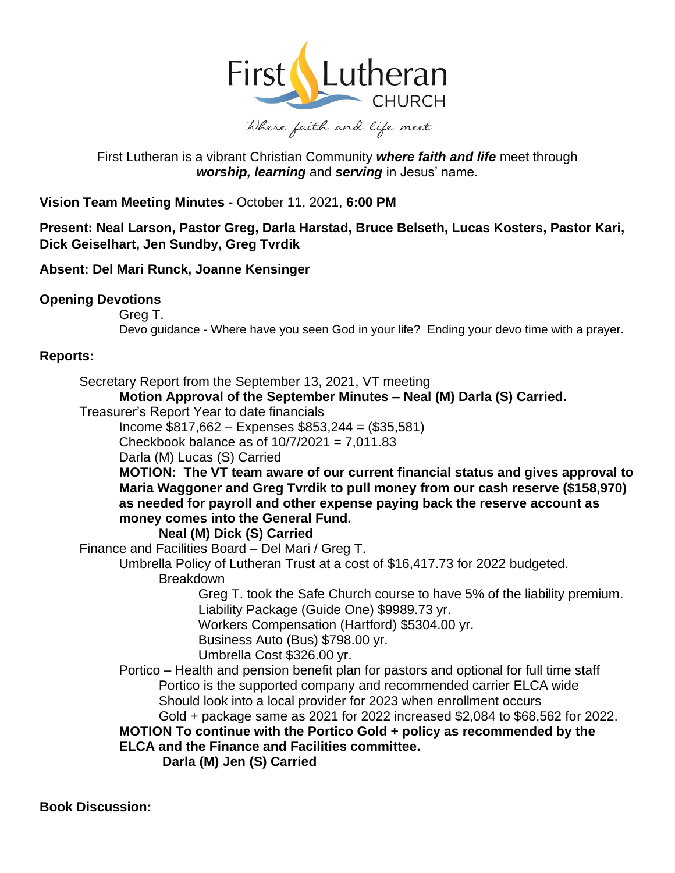

# First Lutheran is a vibrant Christian Community *where faith and life* meet through *worship, learning* and *serving* in Jesus' name.

**Vision Team Meeting Minutes -** October 11, 2021, **6:00 PM** 

**Present: Neal Larson, Pastor Greg, Darla Harstad, Bruce Belseth, Lucas Kosters, Pastor Kari, Dick Geiselhart, Jen Sundby, Greg Tvrdik** 

# **Absent: Del Mari Runck, Joanne Kensinger**

# **Opening Devotions**

Greg T.

Devo guidance - Where have you seen God in your life? Ending your devo time with a prayer.

# **Reports:**

Secretary Report from the September 13, 2021, VT meeting

**Motion Approval of the September Minutes – Neal (M) Darla (S) Carried.** 

Treasurer's Report Year to date financials

Income \$817,662 – Expenses \$853,244 = (\$35,581)

Checkbook balance as of  $10/7/2021 = 7.011.83$ 

Darla (M) Lucas (S) Carried

**MOTION: The VT team aware of our current financial status and gives approval to Maria Waggoner and Greg Tvrdik to pull money from our cash reserve (\$158,970) as needed for payroll and other expense paying back the reserve account as money comes into the General Fund.** 

#### **Neal (M) Dick (S) Carried**

Finance and Facilities Board – Del Mari / Greg T.

Umbrella Policy of Lutheran Trust at a cost of \$16,417.73 for 2022 budgeted.

# Breakdown

Greg T. took the Safe Church course to have 5% of the liability premium. Liability Package (Guide One) \$9989.73 yr.

Workers Compensation (Hartford) \$5304.00 yr.

Business Auto (Bus) \$798.00 yr.

Umbrella Cost \$326.00 yr.

Portico – Health and pension benefit plan for pastors and optional for full time staff Portico is the supported company and recommended carrier ELCA wide Should look into a local provider for 2023 when enrollment occurs

Gold + package same as 2021 for 2022 increased \$2,084 to \$68,562 for 2022. **MOTION To continue with the Portico Gold + policy as recommended by the ELCA and the Finance and Facilities committee.** 

**Darla (M) Jen (S) Carried** 

**Book Discussion:**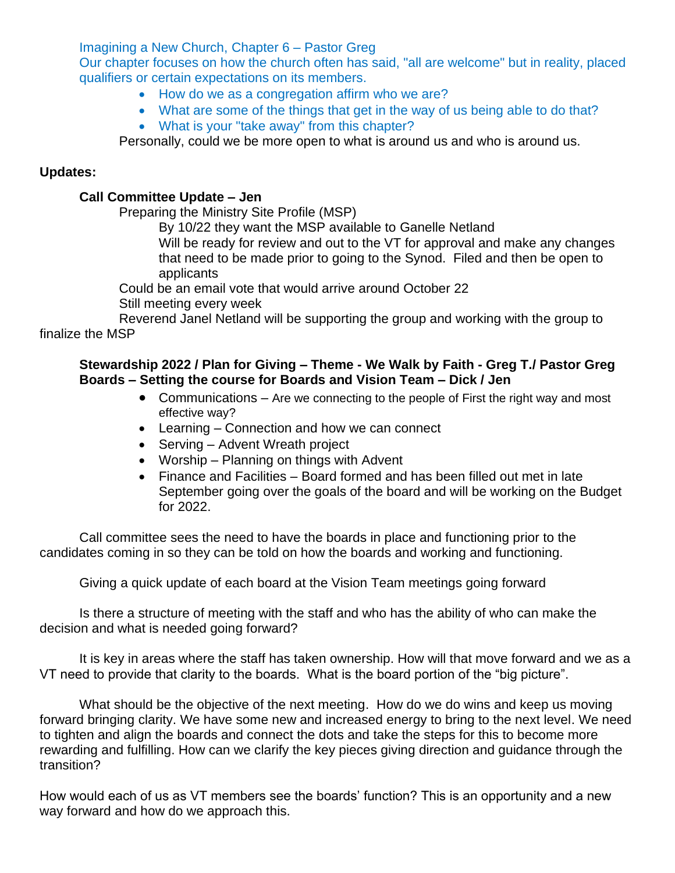Imagining a New Church, Chapter 6 – Pastor Greg

Our chapter focuses on how the church often has said, "all are welcome" but in reality, placed qualifiers or certain expectations on its members.

- How do we as a congregation affirm who we are?
- What are some of the things that get in the way of us being able to do that? • What is your "take away" from this chapter?

Personally, could we be more open to what is around us and who is around us.

# **Updates:**

### **Call Committee Update – Jen**

Preparing the Ministry Site Profile (MSP)

By 10/22 they want the MSP available to Ganelle Netland

Will be ready for review and out to the VT for approval and make any changes that need to be made prior to going to the Synod. Filed and then be open to applicants

Could be an email vote that would arrive around October 22

Still meeting every week

Reverend Janel Netland will be supporting the group and working with the group to finalize the MSP

### **Stewardship 2022 / Plan for Giving – Theme - We Walk by Faith - Greg T./ Pastor Greg Boards – Setting the course for Boards and Vision Team – Dick / Jen**

- Communications Are we connecting to the people of First the right way and most effective way?
- Learning Connection and how we can connect
- Serving Advent Wreath project
- Worship Planning on things with Advent
- Finance and Facilities Board formed and has been filled out met in late September going over the goals of the board and will be working on the Budget for 2022.

Call committee sees the need to have the boards in place and functioning prior to the candidates coming in so they can be told on how the boards and working and functioning.

Giving a quick update of each board at the Vision Team meetings going forward

Is there a structure of meeting with the staff and who has the ability of who can make the decision and what is needed going forward?

It is key in areas where the staff has taken ownership. How will that move forward and we as a VT need to provide that clarity to the boards. What is the board portion of the "big picture".

What should be the objective of the next meeting. How do we do wins and keep us moving forward bringing clarity. We have some new and increased energy to bring to the next level. We need to tighten and align the boards and connect the dots and take the steps for this to become more rewarding and fulfilling. How can we clarify the key pieces giving direction and guidance through the transition?

How would each of us as VT members see the boards' function? This is an opportunity and a new way forward and how do we approach this.